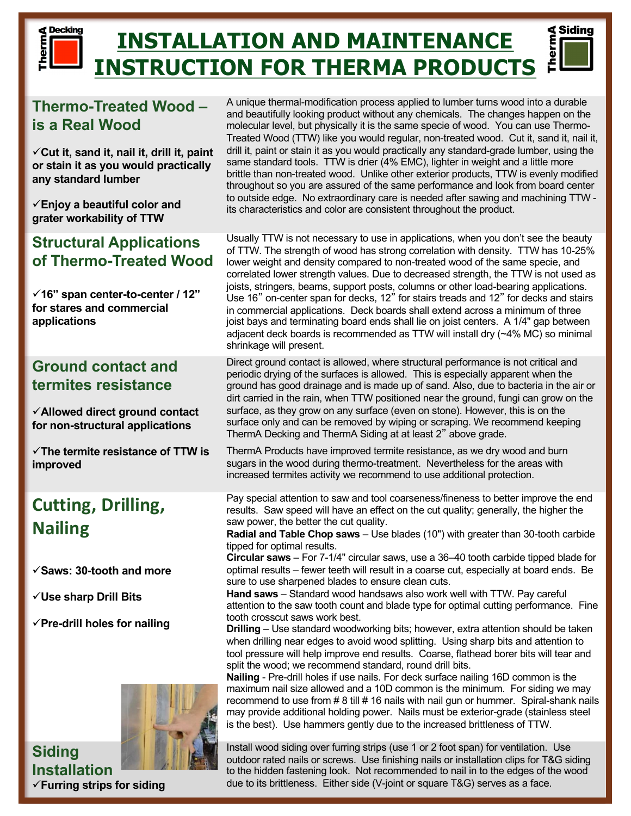# **Decking INSTALLATION AND MAINTENANCE INSTRUCTION FOR THERMA PRODUCTS**

## **Thermo-Treated Wood – is a Real Wood**

herm

ü**Cut it, sand it, nail it, drill it, paint or stain it as you would practically any standard lumber**

ü**Enjoy a beautiful color and grater workability of TTW**

### **Structural Applications of Thermo-Treated Wood**

ü**16" span center-to-center / 12" for stares and commercial applications**

### **Ground contact and termites resistance**

ü**Allowed direct ground contact for non-structural applications**

ü**The termite resistance of TTW is improved**

# **Cutting, Drilling, Nailing**

- ü**Saws: 30-tooth and more**
- ü**Use sharp Drill Bits**
- ü**Pre-drill holes for nailing**



**Siding Installation** ü**Furring strips for siding**



 $\triangleleft$  Siding

Usually TTW is not necessary to use in applications, when you don't see the beauty of TTW. The strength of wood has strong correlation with density. TTW has 10-25% lower weight and density compared to non-treated wood of the same specie, and correlated lower strength values. Due to decreased strength, the TTW is not used as joists, stringers, beams, support posts, columns or other load-bearing applications. Use 16" on-center span for decks, 12" for stairs treads and 12" for decks and stairs in commercial applications. Deck boards shall extend across a minimum of three joist bays and terminating board ends shall lie on joist centers. A 1/4" gap between adjacent deck boards is recommended as TTW will install dry (~4% MC) so minimal shrinkage will present.

Direct ground contact is allowed, where structural performance is not critical and periodic drying of the surfaces is allowed. This is especially apparent when the ground has good drainage and is made up of sand. Also, due to bacteria in the air or dirt carried in the rain, when TTW positioned near the ground, fungi can grow on the surface, as they grow on any surface (even on stone). However, this is on the surface only and can be removed by wiping or scraping. We recommend keeping ThermA Decking and ThermA Siding at at least 2" above grade.

ThermA Products have improved termite resistance, as we dry wood and burn sugars in the wood during thermo-treatment. Nevertheless for the areas with increased termites activity we recommend to use additional protection.

Pay special attention to saw and tool coarseness/fineness to better improve the end results. Saw speed will have an effect on the cut quality; generally, the higher the saw power, the better the cut quality.

**Radial and Table Chop saws** – Use blades (10") with greater than 30-tooth carbide tipped for optimal results.

**Circular saws** – For 7-1/4" circular saws, use a 36–40 tooth carbide tipped blade for optimal results – fewer teeth will result in a coarse cut, especially at board ends. Be sure to use sharpened blades to ensure clean cuts.

**Hand saws** – Standard wood handsaws also work well with TTW. Pay careful attention to the saw tooth count and blade type for optimal cutting performance. Fine tooth crosscut saws work best.

**Drilling** – Use standard woodworking bits; however, extra attention should be taken when drilling near edges to avoid wood splitting. Using sharp bits and attention to tool pressure will help improve end results. Coarse, flathead borer bits will tear and split the wood; we recommend standard, round drill bits.

**Nailing** - Pre-drill holes if use nails. For deck surface nailing 16D common is the maximum nail size allowed and a 10D common is the minimum. For siding we may recommend to use from # 8 till # 16 nails with nail gun or hummer. Spiral-shank nails may provide additional holding power. Nails must be exterior-grade (stainless steel is the best). Use hammers gently due to the increased brittleness of TTW.

Install wood siding over furring strips (use 1 or 2 foot span) for ventilation. Use outdoor rated nails or screws. Use finishing nails or installation clips for T&G siding to the hidden fastening look. Not recommended to nail in to the edges of the wood due to its brittleness. Either side (V-joint or square T&G) serves as a face.